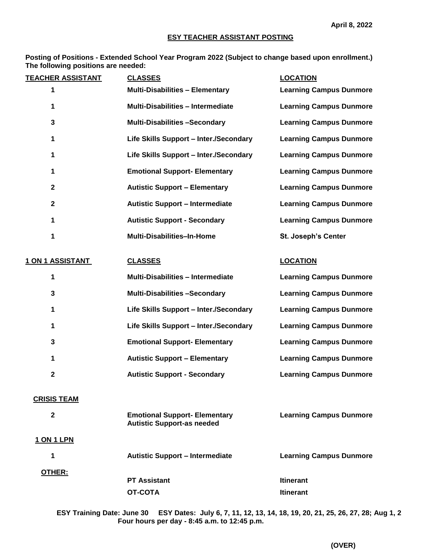#### **ESY TEACHER ASSISTANT POSTING**

**Posting of Positions - Extended School Year Program 2022 (Subject to change based upon enrollment.) The following positions are needed:**

| <b>TEACHER ASSISTANT</b> | <b>CLASSES</b>                                                            | <b>LOCATION</b>                |  |
|--------------------------|---------------------------------------------------------------------------|--------------------------------|--|
| 1                        | <b>Multi-Disabilities - Elementary</b>                                    | <b>Learning Campus Dunmore</b> |  |
| 1                        | <b>Multi-Disabilities - Intermediate</b>                                  | <b>Learning Campus Dunmore</b> |  |
| 3                        | <b>Multi-Disabilities -Secondary</b>                                      | <b>Learning Campus Dunmore</b> |  |
| 1                        | Life Skills Support - Inter./Secondary                                    | <b>Learning Campus Dunmore</b> |  |
| 1                        | Life Skills Support - Inter./Secondary                                    | <b>Learning Campus Dunmore</b> |  |
| 1                        | <b>Emotional Support- Elementary</b>                                      | <b>Learning Campus Dunmore</b> |  |
| $\mathbf{2}$             | <b>Autistic Support - Elementary</b>                                      | <b>Learning Campus Dunmore</b> |  |
| $\mathbf{2}$             | <b>Autistic Support - Intermediate</b>                                    | <b>Learning Campus Dunmore</b> |  |
| 1                        | <b>Autistic Support - Secondary</b>                                       |                                |  |
| 1                        | Multi-Disabilities-In-Home                                                | <b>St. Joseph's Center</b>     |  |
| 1 ON 1 ASSISTANT         | <b>CLASSES</b>                                                            | <b>LOCATION</b>                |  |
| 1                        | <b>Multi-Disabilities - Intermediate</b>                                  | <b>Learning Campus Dunmore</b> |  |
| 3                        | <b>Multi-Disabilities -Secondary</b>                                      | <b>Learning Campus Dunmore</b> |  |
| 1                        | Life Skills Support - Inter./Secondary                                    | <b>Learning Campus Dunmore</b> |  |
| 1                        | Life Skills Support - Inter./Secondary                                    | <b>Learning Campus Dunmore</b> |  |
| 3                        | <b>Emotional Support- Elementary</b>                                      | <b>Learning Campus Dunmore</b> |  |
| 1                        | <b>Autistic Support - Elementary</b>                                      | <b>Learning Campus Dunmore</b> |  |
| $\mathbf 2$              | <b>Autistic Support - Secondary</b>                                       | <b>Learning Campus Dunmore</b> |  |
| <b>CRISIS TEAM</b>       |                                                                           |                                |  |
| $\mathbf 2$              | <b>Emotional Support- Elementary</b><br><b>Autistic Support-as needed</b> | <b>Learning Campus Dunmore</b> |  |
| 1 ON 1 LPN               |                                                                           |                                |  |
| 1                        | <b>Autistic Support - Intermediate</b>                                    | <b>Learning Campus Dunmore</b> |  |
| OTHER:                   | <b>PT Assistant</b>                                                       | <b>Itinerant</b>               |  |
|                          | <b>OT-COTA</b>                                                            | <b>Itinerant</b>               |  |
|                          |                                                                           |                                |  |

**ESY Training Date: June 30 ESY Dates: July 6, 7, 11, 12, 13, 14, 18, 19, 20, 21, 25, 26, 27, 28; Aug 1, 2 Four hours per day - 8:45 a.m. to 12:45 p.m.**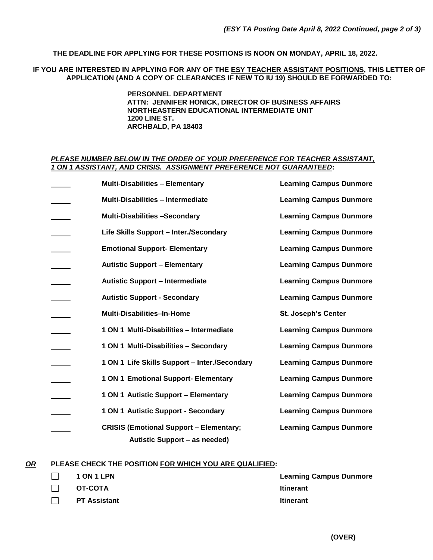**THE DEADLINE FOR APPLYING FOR THESE POSITIONS IS NOON ON MONDAY, APRIL 18, 2022.**

**IF YOU ARE INTERESTED IN APPLYING FOR ANY OF THE ESY TEACHER ASSISTANT POSITIONS, THIS LETTER OF APPLICATION (AND A COPY OF CLEARANCES IF NEW TO IU 19) SHOULD BE FORWARDED TO:**

> **PERSONNEL DEPARTMENT ATTN: JENNIFER HONICK, DIRECTOR OF BUSINESS AFFAIRS NORTHEASTERN EDUCATIONAL INTERMEDIATE UNIT 1200 LINE ST. ARCHBALD, PA 18403**

### *PLEASE NUMBER BELOW IN THE ORDER OF YOUR PREFERENCE FOR TEACHER ASSISTANT, 1 ON 1 ASSISTANT, AND CRISIS. ASSIGNMENT PREFERENCE NOT GUARANTEED***:**

| <b>Multi-Disabilities - Elementary</b>                                          | <b>Learning Campus Dunmore</b> |
|---------------------------------------------------------------------------------|--------------------------------|
| <b>Multi-Disabilities - Intermediate</b>                                        | <b>Learning Campus Dunmore</b> |
| <b>Multi-Disabilities -Secondary</b>                                            | <b>Learning Campus Dunmore</b> |
| Life Skills Support - Inter./Secondary                                          | <b>Learning Campus Dunmore</b> |
| <b>Emotional Support- Elementary</b>                                            | <b>Learning Campus Dunmore</b> |
| <b>Autistic Support - Elementary</b>                                            | <b>Learning Campus Dunmore</b> |
| <b>Autistic Support - Intermediate</b>                                          | <b>Learning Campus Dunmore</b> |
| <b>Autistic Support - Secondary</b>                                             | <b>Learning Campus Dunmore</b> |
| <b>Multi-Disabilities-In-Home</b>                                               | <b>St. Joseph's Center</b>     |
| 1 ON 1 Multi-Disabilities - Intermediate                                        | <b>Learning Campus Dunmore</b> |
| 1 ON 1 Multi-Disabilities - Secondary                                           | <b>Learning Campus Dunmore</b> |
| 1 ON 1 Life Skills Support - Inter./Secondary                                   | <b>Learning Campus Dunmore</b> |
| 1 ON 1 Emotional Support- Elementary                                            | <b>Learning Campus Dunmore</b> |
| 1 ON 1 Autistic Support - Elementary                                            | <b>Learning Campus Dunmore</b> |
| 1 ON 1 Autistic Support - Secondary                                             | <b>Learning Campus Dunmore</b> |
| <b>CRISIS (Emotional Support - Elementary;</b><br>Autistic Support - as needed) | <b>Learning Campus Dunmore</b> |

### *OR* **PLEASE CHECK THE POSITION FOR WHICH YOU ARE QUALIFIED:**

| <b>1 ON 1 LPN</b>   | <b>Learning Campus Dunmore</b> |
|---------------------|--------------------------------|
| OT-COTA             | <b>Itinerant</b>               |
| <b>PT Assistant</b> | <b>Itinerant</b>               |